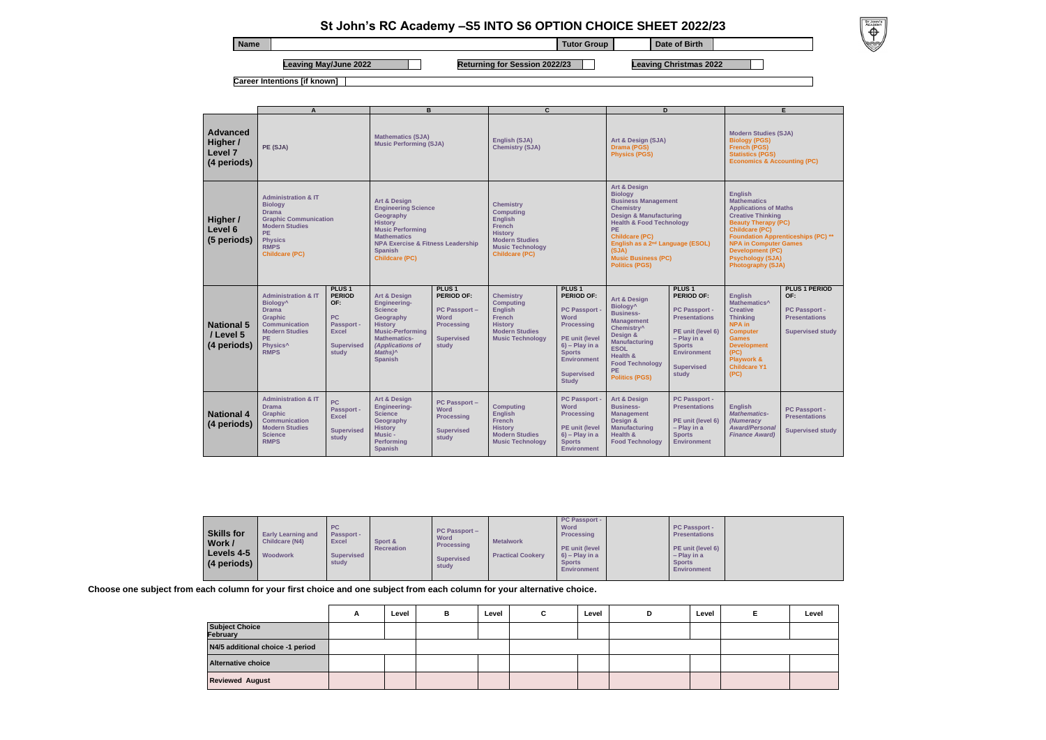## **St John's RC Academy –S5 INTO S6 OPTION CHOICE SHEET 2022/23**

**Choose one subject from each column for your first choice and one subject from each column for your alternative choice.** 

|                                   | A | Level | в | Level | Ĉ<br>ັ | Level | D | Level | Level |
|-----------------------------------|---|-------|---|-------|--------|-------|---|-------|-------|
| <b>Subject Choice</b><br>February |   |       |   |       |        |       |   |       |       |
| N4/5 additional choice -1 period  |   |       |   |       |        |       |   |       |       |
| <b>Alternative choice</b>         |   |       |   |       |        |       |   |       |       |
| Reviewed August                   |   |       |   |       |        |       |   |       |       |



| <b>Name</b> |                       |                                      | Tutor Group | Date of Birth                 |  |
|-------------|-----------------------|--------------------------------------|-------------|-------------------------------|--|
|             | Leaving May/June 2022 | <b>Returning for Session 2022/23</b> |             | <b>Leaving Christmas 2022</b> |  |

**Career Intentions [if known]**

**Foundation Apprenticeships (PC) \*\***

**PERIOD** 

**port -Present** 

**sed study** 

port -.<br>Itions

**Sed study** 



| Level |  |  |  |  |  |
|-------|--|--|--|--|--|
|       |  |  |  |  |  |
|       |  |  |  |  |  |
|       |  |  |  |  |  |
|       |  |  |  |  |  |

|                                                       | A                                                                                                                                                                                                      |                                                                                                                    | B                                                                                                                                                                                                                                                                                             |                                                                                                                                  | C                                                                                                                                                                                                                 |                                                                                                                                                                                                                            | D                                                                                                                                                                                                                                                                                                                                                                                                 |                                                                                                                                                                                          | E.                                                                                                                                                                                                                                                                                                                                                                                                                                                                   |                                                                                 |
|-------------------------------------------------------|--------------------------------------------------------------------------------------------------------------------------------------------------------------------------------------------------------|--------------------------------------------------------------------------------------------------------------------|-----------------------------------------------------------------------------------------------------------------------------------------------------------------------------------------------------------------------------------------------------------------------------------------------|----------------------------------------------------------------------------------------------------------------------------------|-------------------------------------------------------------------------------------------------------------------------------------------------------------------------------------------------------------------|----------------------------------------------------------------------------------------------------------------------------------------------------------------------------------------------------------------------------|---------------------------------------------------------------------------------------------------------------------------------------------------------------------------------------------------------------------------------------------------------------------------------------------------------------------------------------------------------------------------------------------------|------------------------------------------------------------------------------------------------------------------------------------------------------------------------------------------|----------------------------------------------------------------------------------------------------------------------------------------------------------------------------------------------------------------------------------------------------------------------------------------------------------------------------------------------------------------------------------------------------------------------------------------------------------------------|---------------------------------------------------------------------------------|
| <b>Advanced</b><br>Higher /<br>Level 7<br>(4 periods) | PE (SJA)<br><b>Administration &amp; IT</b><br><b>Biology</b><br><b>Drama</b><br><b>Graphic Communication</b><br><b>Modern Studies</b><br>PE.<br><b>Physics</b><br><b>RMPS</b><br><b>Childcare (PC)</b> |                                                                                                                    | <b>Mathematics (SJA)</b><br><b>Music Performing (SJA)</b><br><b>Art &amp; Design</b><br><b>Engineering Science</b><br>Geography<br><b>History</b><br><b>Music Performing</b><br><b>Mathematics</b><br><b>NPA Exercise &amp; Fitness Leadership</b><br><b>Spanish</b><br><b>Childcare (PC)</b> |                                                                                                                                  | English (SJA)<br><b>Chemistry (SJA)</b><br><b>Chemistry</b><br><b>Computing</b><br><b>English</b><br><b>French</b><br><b>History</b><br><b>Modern Studies</b><br><b>Music Technology</b><br><b>Childcare (PC)</b> |                                                                                                                                                                                                                            | Art & Design (SJA)<br><b>Drama (PGS)</b><br><b>Physics (PGS)</b><br><b>Art &amp; Design</b><br><b>Biology</b><br><b>Business Management</b><br><b>Chemistry</b><br><b>Design &amp; Manufacturing</b><br><b>Health &amp; Food Technology</b><br><b>PE</b><br><b>Childcare (PC)</b><br>English as a 2 <sup>nd</sup> Language (ESOL)<br>(SJA)<br><b>Music Business (PC)</b><br><b>Politics (PGS)</b> |                                                                                                                                                                                          | <b>Modern Studies (SJA)</b><br><b>Biology (PGS)</b><br><b>French (PGS)</b><br><b>Statistics (PGS)</b><br><b>Economics &amp; Accounting (PC)</b><br><b>English</b><br><b>Mathematics</b><br><b>Applications of Maths</b><br><b>Creative Thinking</b><br><b>Beauty Therapy (PC)</b><br><b>Childcare (PC)</b><br><b>Foundation Apprenticeships (I</b><br><b>NPA in Computer Games</b><br><b>Development (PC)</b><br><b>Psychology (SJA)</b><br><b>Photography (SJA)</b> |                                                                                 |
| Higher /<br>Level 6<br>(5 periods)                    |                                                                                                                                                                                                        |                                                                                                                    |                                                                                                                                                                                                                                                                                               |                                                                                                                                  |                                                                                                                                                                                                                   |                                                                                                                                                                                                                            |                                                                                                                                                                                                                                                                                                                                                                                                   |                                                                                                                                                                                          |                                                                                                                                                                                                                                                                                                                                                                                                                                                                      |                                                                                 |
| <b>National 5</b><br>/ Level 5<br>(4 periods)         | <b>Administration &amp; IT</b><br>Biology <sup>^</sup><br><b>Drama</b><br><b>Graphic</b><br><b>Communication</b><br><b>Modern Studies</b><br>PE.<br>Physics <sup>^</sup><br><b>RMPS</b>                | PLUS <sub>1</sub><br><b>PERIOD</b><br>OF:<br><b>PC</b><br>Passport -<br><b>Excel</b><br><b>Supervised</b><br>study | <b>Art &amp; Design</b><br><b>Engineering-</b><br><b>Science</b><br>Geography<br><b>History</b><br><b>Music-Performina</b><br><b>Mathematics-</b><br>(Applications of<br>Maths) <sup>^</sup><br><b>Spanish</b>                                                                                | PLUS <sub>1</sub><br><b>PERIOD OF:</b><br><b>PC Passport -</b><br><b>Word</b><br><b>Processing</b><br><b>Supervised</b><br>study | <b>Chemistry</b><br><b>Computing</b><br><b>English</b><br><b>French</b><br><b>History</b><br><b>Modern Studies</b><br><b>Music Technology</b>                                                                     | PLUS <sub>1</sub><br><b>PERIOD OF:</b><br><b>PC Passport</b><br><b>Word</b><br><b>Processing</b><br><b>PE unit (level</b><br>$6$ ) - Play in a<br><b>Sports</b><br><b>Environment</b><br><b>Supervised</b><br><b>Study</b> | <b>Art &amp; Design</b><br>Biology <sup>^</sup><br><b>Business-</b><br><b>Management</b><br>Chemistry <sup>^</sup><br>Design &<br><b>Manufacturing</b><br><b>ESOL</b><br>Health &<br><b>Food Technology</b><br><b>PE</b><br><b>Politics (PGS)</b>                                                                                                                                                 | PLUS <sub>1</sub><br><b>PERIOD OF:</b><br>PC Passport -<br><b>Presentations</b><br>PE unit (level 6)<br>- Play in a<br><b>Sports</b><br><b>Environment</b><br><b>Supervised</b><br>study | <b>English</b><br>Mathematics <sup>^</sup><br><b>Creative</b><br><b>Thinking</b><br><b>NPA</b> in<br><b>Computer</b><br><b>Games</b><br><b>Development</b><br>(PC)<br><b>Playwork &amp;</b><br><b>Childcare Y1</b><br>(PC)                                                                                                                                                                                                                                           | PLUS 1 PE<br>OF:<br><b>PC Passpo</b><br><b>Presentatio</b><br><b>Supervised</b> |
| <b>National 4</b><br>(4 periods)                      | <b>Administration &amp; IT</b><br><b>Drama</b><br><b>Graphic</b><br><b>Communication</b><br><b>Modern Studies</b><br><b>Science</b><br><b>DAADO</b>                                                    | PC<br>Passport -<br><b>Excel</b><br><b>Supervised</b><br>study                                                     | <b>Art &amp; Design</b><br><b>Engineering-</b><br><b>Science</b><br>Geography<br><b>History</b><br>Music -<br><b>District America</b>                                                                                                                                                         | <b>PC Passport -</b><br><b>Word</b><br><b>Processing</b><br><b>Supervised</b><br>study                                           | <b>Computing</b><br><b>English</b><br>French<br><b>History</b><br><b>Modern Studies</b><br><b>Adventure The Adventure</b>                                                                                         | <b>PC Passport -</b><br><b>Word</b><br><b>Processing</b><br><b>PE unit (level</b><br>$6$ ) – Play in a                                                                                                                     | <b>Art &amp; Design</b><br><b>Business-</b><br><b>Management</b><br>Design &<br><b>Manufacturing</b><br>Health &<br>ロックス アップト                                                                                                                                                                                                                                                                     | PC Passport -<br><b>Presentations</b><br>PE unit (level 6)<br>- Play in a<br><b>Sports</b>                                                                                               | <b>English</b><br><b>Mathematics-</b><br>(Numeracy<br><b>Award/Personal</b><br><b>Finance Award)</b>                                                                                                                                                                                                                                                                                                                                                                 | <b>PC Passpo</b><br><b>Presentatio</b><br>Supervised                            |

**RMPS**

**Performing Spanish**

**Music Technology**

**Sports Environment** **Food Technology**

**Environment**

| <b>Skills for</b><br>Work /<br>Levels 4-5<br>(4 periods) | <b>Early Learning and</b><br><b>Childcare (N4)</b><br>Woodwork | <b>PC</b><br><b>Passport -</b><br><b>Excel</b><br><b>Supervised</b><br>study | Sport &<br>Recreation | $PC$ Passport $-$<br>Word<br><b>Processing</b><br><b>Supervised</b><br>study | <b>Metalwork</b><br><b>Practical Cookery</b> | <b>PC Passport -</b><br><b>Word</b><br>Processing<br>PE unit (level<br>$6$ ) – Play in a<br><b>Sports</b><br><b>Environment</b> |  | <b>PC Passport -</b><br><b>Presentations</b><br>PE unit (level 6)<br>$-$ Play in a<br><b>Sports</b><br><b>Environment</b> |  |
|----------------------------------------------------------|----------------------------------------------------------------|------------------------------------------------------------------------------|-----------------------|------------------------------------------------------------------------------|----------------------------------------------|---------------------------------------------------------------------------------------------------------------------------------|--|---------------------------------------------------------------------------------------------------------------------------|--|
|----------------------------------------------------------|----------------------------------------------------------------|------------------------------------------------------------------------------|-----------------------|------------------------------------------------------------------------------|----------------------------------------------|---------------------------------------------------------------------------------------------------------------------------------|--|---------------------------------------------------------------------------------------------------------------------------|--|